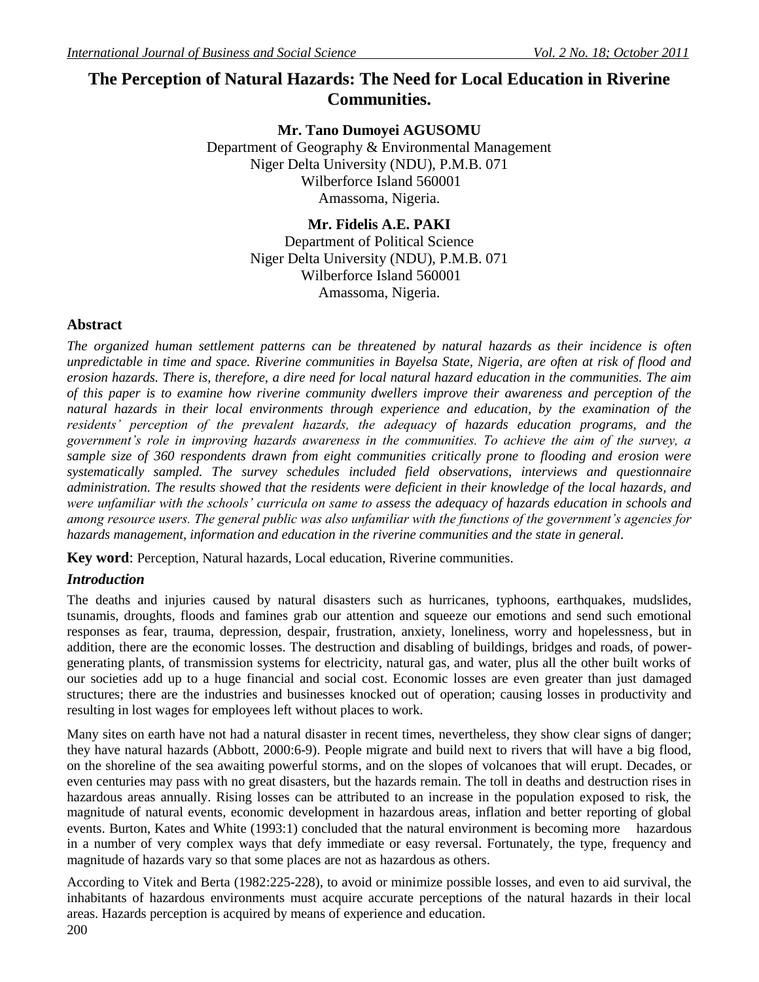# **The Perception of Natural Hazards: The Need for Local Education in Riverine Communities.**

**Mr. Tano Dumoyei AGUSOMU**

Department of Geography & Environmental Management Niger Delta University (NDU), P.M.B. 071 Wilberforce Island 560001 Amassoma, Nigeria.

> **Mr. Fidelis A.E. PAKI**  Department of Political Science Niger Delta University (NDU), P.M.B. 071 Wilberforce Island 560001 Amassoma, Nigeria.

## **Abstract**

*The organized human settlement patterns can be threatened by natural hazards as their incidence is often unpredictable in time and space. Riverine communities in Bayelsa State, Nigeria, are often at risk of flood and erosion hazards. There is, therefore, a dire need for local natural hazard education in the communities. The aim of this paper is to examine how riverine community dwellers improve their awareness and perception of the natural hazards in their local environments through experience and education, by the examination of the residents' perception of the prevalent hazards, the adequacy of hazards education programs, and the government's role in improving hazards awareness in the communities. To achieve the aim of the survey, a sample size of 360 respondents drawn from eight communities critically prone to flooding and erosion were systematically sampled. The survey schedules included field observations, interviews and questionnaire administration. The results showed that the residents were deficient in their knowledge of the local hazards, and were unfamiliar with the schools' curricula on same to assess the adequacy of hazards education in schools and among resource users. The general public was also unfamiliar with the functions of the government's agencies for hazards management, information and education in the riverine communities and the state in general.*

**Key word**: Perception, Natural hazards, Local education, Riverine communities.

# *Introduction*

The deaths and injuries caused by natural disasters such as hurricanes, typhoons, earthquakes, mudslides, tsunamis, droughts, floods and famines grab our attention and squeeze our emotions and send such emotional responses as fear, trauma, depression, despair, frustration, anxiety, loneliness, worry and hopelessness, but in addition, there are the economic losses. The destruction and disabling of buildings, bridges and roads, of powergenerating plants, of transmission systems for electricity, natural gas, and water, plus all the other built works of our societies add up to a huge financial and social cost. Economic losses are even greater than just damaged structures; there are the industries and businesses knocked out of operation; causing losses in productivity and resulting in lost wages for employees left without places to work.

Many sites on earth have not had a natural disaster in recent times, nevertheless, they show clear signs of danger; they have natural hazards (Abbott, 2000:6-9). People migrate and build next to rivers that will have a big flood, on the shoreline of the sea awaiting powerful storms, and on the slopes of volcanoes that will erupt. Decades, or even centuries may pass with no great disasters, but the hazards remain. The toll in deaths and destruction rises in hazardous areas annually. Rising losses can be attributed to an increase in the population exposed to risk, the magnitude of natural events, economic development in hazardous areas, inflation and better reporting of global events. Burton, Kates and White (1993:1) concluded that the natural environment is becoming more hazardous in a number of very complex ways that defy immediate or easy reversal. Fortunately, the type, frequency and magnitude of hazards vary so that some places are not as hazardous as others.

200 According to Vitek and Berta (1982:225-228), to avoid or minimize possible losses, and even to aid survival, the inhabitants of hazardous environments must acquire accurate perceptions of the natural hazards in their local areas. Hazards perception is acquired by means of experience and education.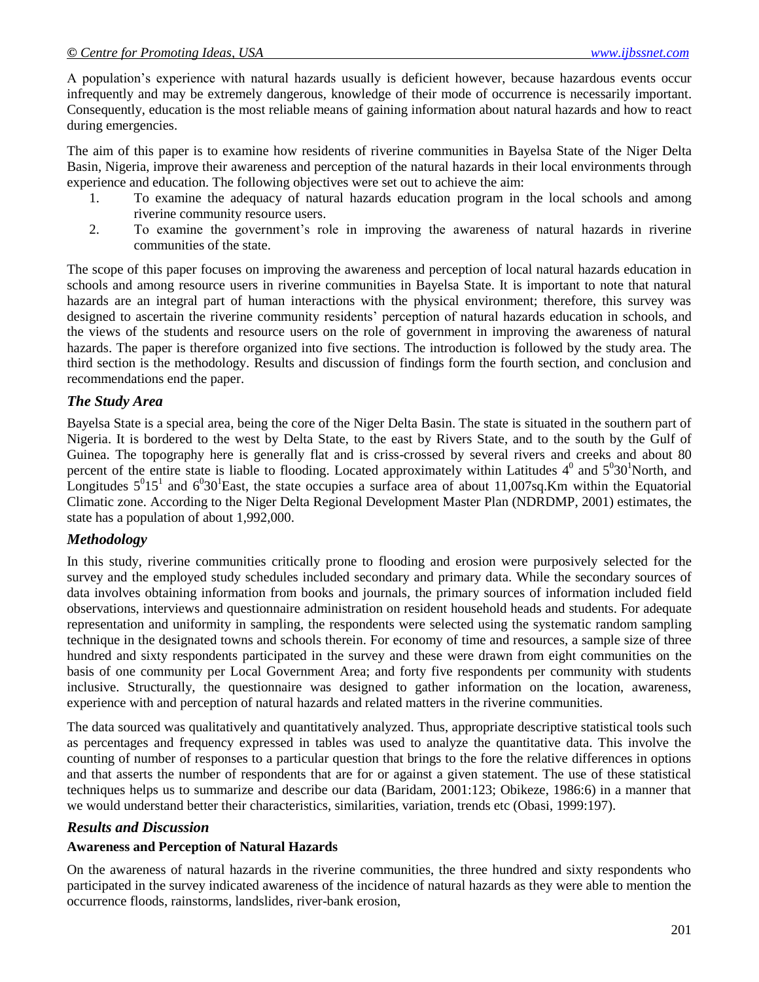A population"s experience with natural hazards usually is deficient however, because hazardous events occur infrequently and may be extremely dangerous, knowledge of their mode of occurrence is necessarily important. Consequently, education is the most reliable means of gaining information about natural hazards and how to react during emergencies.

The aim of this paper is to examine how residents of riverine communities in Bayelsa State of the Niger Delta Basin, Nigeria, improve their awareness and perception of the natural hazards in their local environments through experience and education. The following objectives were set out to achieve the aim:

- 1. To examine the adequacy of natural hazards education program in the local schools and among riverine community resource users.
- 2. To examine the government"s role in improving the awareness of natural hazards in riverine communities of the state.

The scope of this paper focuses on improving the awareness and perception of local natural hazards education in schools and among resource users in riverine communities in Bayelsa State. It is important to note that natural hazards are an integral part of human interactions with the physical environment; therefore, this survey was designed to ascertain the riverine community residents' perception of natural hazards education in schools, and the views of the students and resource users on the role of government in improving the awareness of natural hazards. The paper is therefore organized into five sections. The introduction is followed by the study area. The third section is the methodology. Results and discussion of findings form the fourth section, and conclusion and recommendations end the paper.

# *The Study Area*

Bayelsa State is a special area, being the core of the Niger Delta Basin. The state is situated in the southern part of Nigeria. It is bordered to the west by Delta State, to the east by Rivers State, and to the south by the Gulf of Guinea. The topography here is generally flat and is criss-crossed by several rivers and creeks and about 80 percent of the entire state is liable to flooding. Located approximately within Latitudes  $4^0$  and  $5^030^1$ North, and Longitudes  $5^015^1$  and  $6^030^1$ East, the state occupies a surface area of about 11,007sq.Km within the Equatorial Climatic zone. According to the Niger Delta Regional Development Master Plan (NDRDMP, 2001) estimates, the state has a population of about 1,992,000.

## *Methodology*

In this study, riverine communities critically prone to flooding and erosion were purposively selected for the survey and the employed study schedules included secondary and primary data. While the secondary sources of data involves obtaining information from books and journals, the primary sources of information included field observations, interviews and questionnaire administration on resident household heads and students. For adequate representation and uniformity in sampling, the respondents were selected using the systematic random sampling technique in the designated towns and schools therein. For economy of time and resources, a sample size of three hundred and sixty respondents participated in the survey and these were drawn from eight communities on the basis of one community per Local Government Area; and forty five respondents per community with students inclusive. Structurally, the questionnaire was designed to gather information on the location, awareness, experience with and perception of natural hazards and related matters in the riverine communities.

The data sourced was qualitatively and quantitatively analyzed. Thus, appropriate descriptive statistical tools such as percentages and frequency expressed in tables was used to analyze the quantitative data. This involve the counting of number of responses to a particular question that brings to the fore the relative differences in options and that asserts the number of respondents that are for or against a given statement. The use of these statistical techniques helps us to summarize and describe our data (Baridam, 2001:123; Obikeze, 1986:6) in a manner that we would understand better their characteristics, similarities, variation, trends etc (Obasi, 1999:197).

## *Results and Discussion*

## **Awareness and Perception of Natural Hazards**

On the awareness of natural hazards in the riverine communities, the three hundred and sixty respondents who participated in the survey indicated awareness of the incidence of natural hazards as they were able to mention the occurrence floods, rainstorms, landslides, river-bank erosion,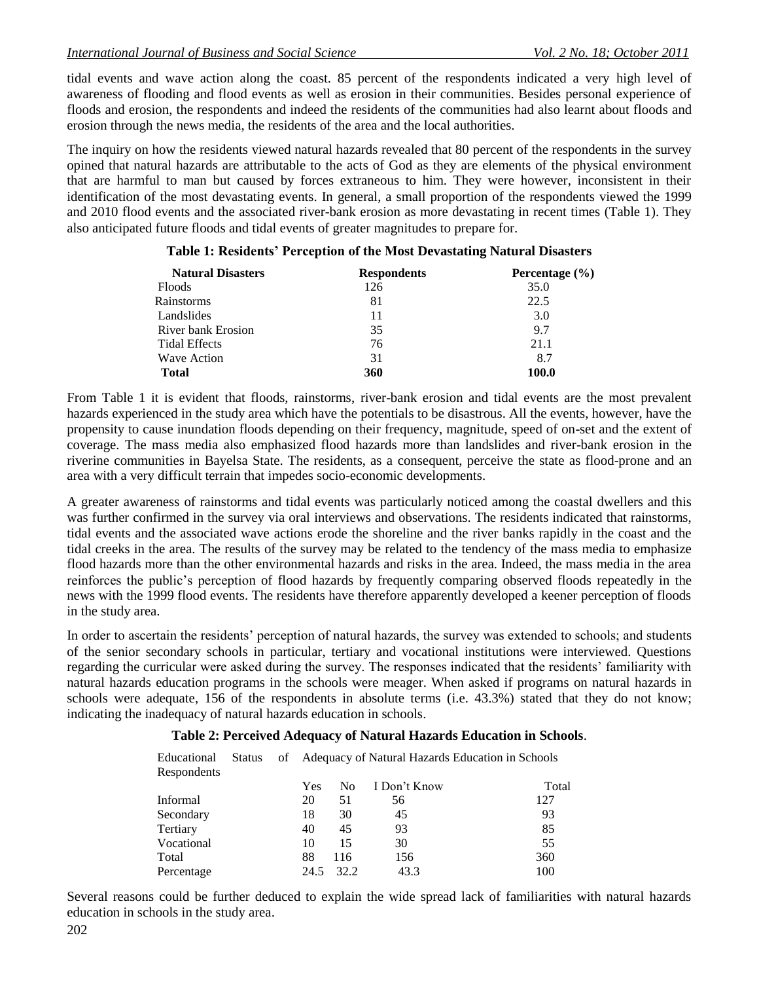tidal events and wave action along the coast. 85 percent of the respondents indicated a very high level of awareness of flooding and flood events as well as erosion in their communities. Besides personal experience of floods and erosion, the respondents and indeed the residents of the communities had also learnt about floods and erosion through the news media, the residents of the area and the local authorities.

The inquiry on how the residents viewed natural hazards revealed that 80 percent of the respondents in the survey opined that natural hazards are attributable to the acts of God as they are elements of the physical environment that are harmful to man but caused by forces extraneous to him. They were however, inconsistent in their identification of the most devastating events. In general, a small proportion of the respondents viewed the 1999 and 2010 flood events and the associated river-bank erosion as more devastating in recent times (Table 1). They also anticipated future floods and tidal events of greater magnitudes to prepare for.

| <b>Natural Disasters</b> | <b>Respondents</b> | Percentage $(\% )$ |
|--------------------------|--------------------|--------------------|
| <b>Floods</b>            | 126                | 35.0               |
| Rainstorms               | 81                 | 22.5               |
| Landslides               | 11                 | 3.0                |
| River bank Erosion       | 35                 | 9.7                |
| <b>Tidal Effects</b>     | 76                 | 21.1               |
| <b>Wave Action</b>       | 31                 | 8.7                |
| <b>Total</b>             | 360                | 100.0              |

#### **Table 1: Residents' Perception of the Most Devastating Natural Disasters**

From Table 1 it is evident that floods, rainstorms, river-bank erosion and tidal events are the most prevalent hazards experienced in the study area which have the potentials to be disastrous. All the events, however, have the propensity to cause inundation floods depending on their frequency, magnitude, speed of on-set and the extent of coverage. The mass media also emphasized flood hazards more than landslides and river-bank erosion in the riverine communities in Bayelsa State. The residents, as a consequent, perceive the state as flood-prone and an area with a very difficult terrain that impedes socio-economic developments.

A greater awareness of rainstorms and tidal events was particularly noticed among the coastal dwellers and this was further confirmed in the survey via oral interviews and observations. The residents indicated that rainstorms, tidal events and the associated wave actions erode the shoreline and the river banks rapidly in the coast and the tidal creeks in the area. The results of the survey may be related to the tendency of the mass media to emphasize flood hazards more than the other environmental hazards and risks in the area. Indeed, the mass media in the area reinforces the public"s perception of flood hazards by frequently comparing observed floods repeatedly in the news with the 1999 flood events. The residents have therefore apparently developed a keener perception of floods in the study area.

In order to ascertain the residents" perception of natural hazards, the survey was extended to schools; and students of the senior secondary schools in particular, tertiary and vocational institutions were interviewed. Questions regarding the curricular were asked during the survey. The responses indicated that the residents" familiarity with natural hazards education programs in the schools were meager. When asked if programs on natural hazards in schools were adequate, 156 of the respondents in absolute terms (i.e. 43.3%) stated that they do not know; indicating the inadequacy of natural hazards education in schools.

# **Table 2: Perceived Adequacy of Natural Hazards Education in Schools**.

| Educational<br>Respondents | Status | of Adequacy of Natural Hazards Education in Schools |      |              |       |
|----------------------------|--------|-----------------------------------------------------|------|--------------|-------|
|                            |        | Yes                                                 | No.  | I Don't Know | Total |
| Informal                   |        | 20                                                  | 51   | 56           | 127   |
| Secondary                  |        | 18                                                  | 30   | 45           | 93    |
| Tertiary                   |        | 40                                                  | 45   | 93           | 85    |
| Vocational                 |        | 10                                                  | 15   | 30           | 55    |
| Total                      |        | 88                                                  | 116  | 156          | 360   |
| Percentage                 |        | 24.5                                                | 32.2 | 43.3         | 100   |

Several reasons could be further deduced to explain the wide spread lack of familiarities with natural hazards education in schools in the study area.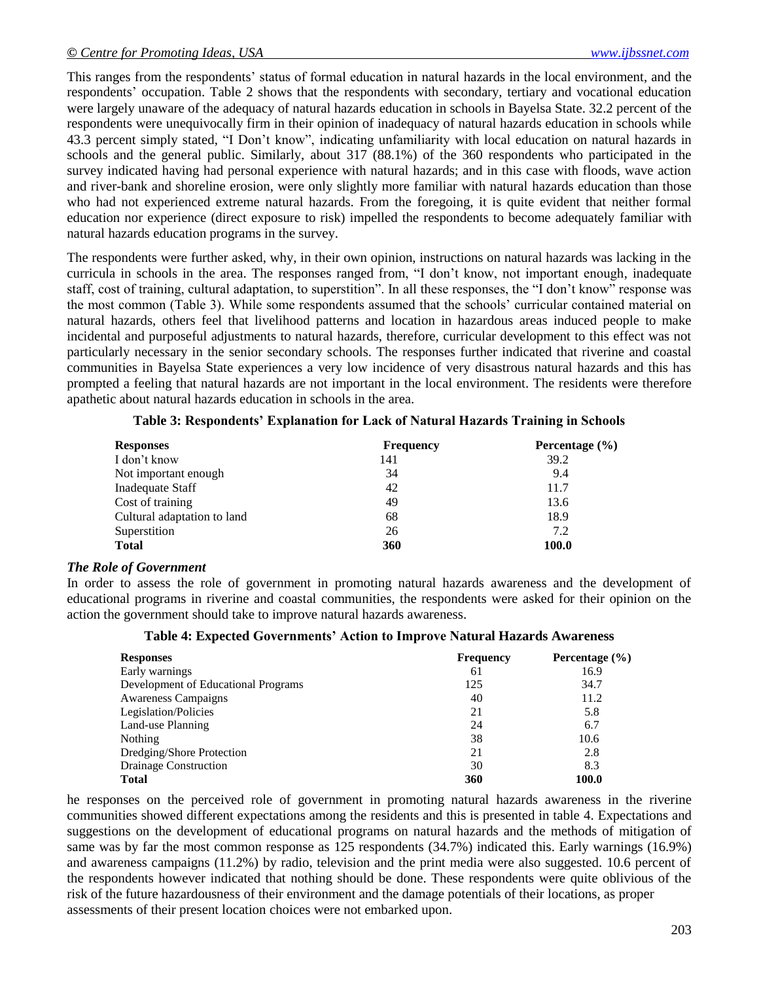This ranges from the respondents" status of formal education in natural hazards in the local environment, and the respondents" occupation. Table 2 shows that the respondents with secondary, tertiary and vocational education were largely unaware of the adequacy of natural hazards education in schools in Bayelsa State. 32.2 percent of the respondents were unequivocally firm in their opinion of inadequacy of natural hazards education in schools while 43.3 percent simply stated, "I Don"t know", indicating unfamiliarity with local education on natural hazards in schools and the general public. Similarly, about 317 (88.1%) of the 360 respondents who participated in the survey indicated having had personal experience with natural hazards; and in this case with floods, wave action and river-bank and shoreline erosion, were only slightly more familiar with natural hazards education than those who had not experienced extreme natural hazards. From the foregoing, it is quite evident that neither formal education nor experience (direct exposure to risk) impelled the respondents to become adequately familiar with natural hazards education programs in the survey.

The respondents were further asked, why, in their own opinion, instructions on natural hazards was lacking in the curricula in schools in the area. The responses ranged from, "I don"t know, not important enough, inadequate staff, cost of training, cultural adaptation, to superstition". In all these responses, the "I don"t know" response was the most common (Table 3). While some respondents assumed that the schools" curricular contained material on natural hazards, others feel that livelihood patterns and location in hazardous areas induced people to make incidental and purposeful adjustments to natural hazards, therefore, curricular development to this effect was not particularly necessary in the senior secondary schools. The responses further indicated that riverine and coastal communities in Bayelsa State experiences a very low incidence of very disastrous natural hazards and this has prompted a feeling that natural hazards are not important in the local environment. The residents were therefore apathetic about natural hazards education in schools in the area.

| <b>Responses</b>            | <b>Frequency</b> | Percentage $(\% )$ |
|-----------------------------|------------------|--------------------|
| I don't know                | 141              | 39.2               |
| Not important enough        | 34               | 9.4                |
| Inadequate Staff            | 42               | 11.7               |
| Cost of training            | 49               | 13.6               |
| Cultural adaptation to land | 68               | 18.9               |
| Superstition                | 26               | 7.2                |
| <b>Total</b>                | 360              | 100.0              |

|  | Table 3: Respondents' Explanation for Lack of Natural Hazards Training in Schools |  |
|--|-----------------------------------------------------------------------------------|--|
|  |                                                                                   |  |

#### *The Role of Government*

In order to assess the role of government in promoting natural hazards awareness and the development of educational programs in riverine and coastal communities, the respondents were asked for their opinion on the action the government should take to improve natural hazards awareness.

#### **Table 4: Expected Governments' Action to Improve Natural Hazards Awareness**

| <b>Responses</b>                    | <b>Frequency</b> | Percentage $(\% )$ |
|-------------------------------------|------------------|--------------------|
| Early warnings                      | 61               | 16.9               |
| Development of Educational Programs | 125              | 34.7               |
| <b>Awareness Campaigns</b>          | 40               | 11.2               |
| Legislation/Policies                | 21               | 5.8                |
| Land-use Planning                   | 24               | 6.7                |
| Nothing                             | 38               | 10.6               |
| Dredging/Shore Protection           | 21               | 2.8                |
| Drainage Construction               | 30               | 8.3                |
| <b>Total</b>                        | 360              | 100.0              |

he responses on the perceived role of government in promoting natural hazards awareness in the riverine communities showed different expectations among the residents and this is presented in table 4. Expectations and suggestions on the development of educational programs on natural hazards and the methods of mitigation of same was by far the most common response as 125 respondents (34.7%) indicated this. Early warnings (16.9%) and awareness campaigns (11.2%) by radio, television and the print media were also suggested. 10.6 percent of the respondents however indicated that nothing should be done. These respondents were quite oblivious of the risk of the future hazardousness of their environment and the damage potentials of their locations, as proper assessments of their present location choices were not embarked upon.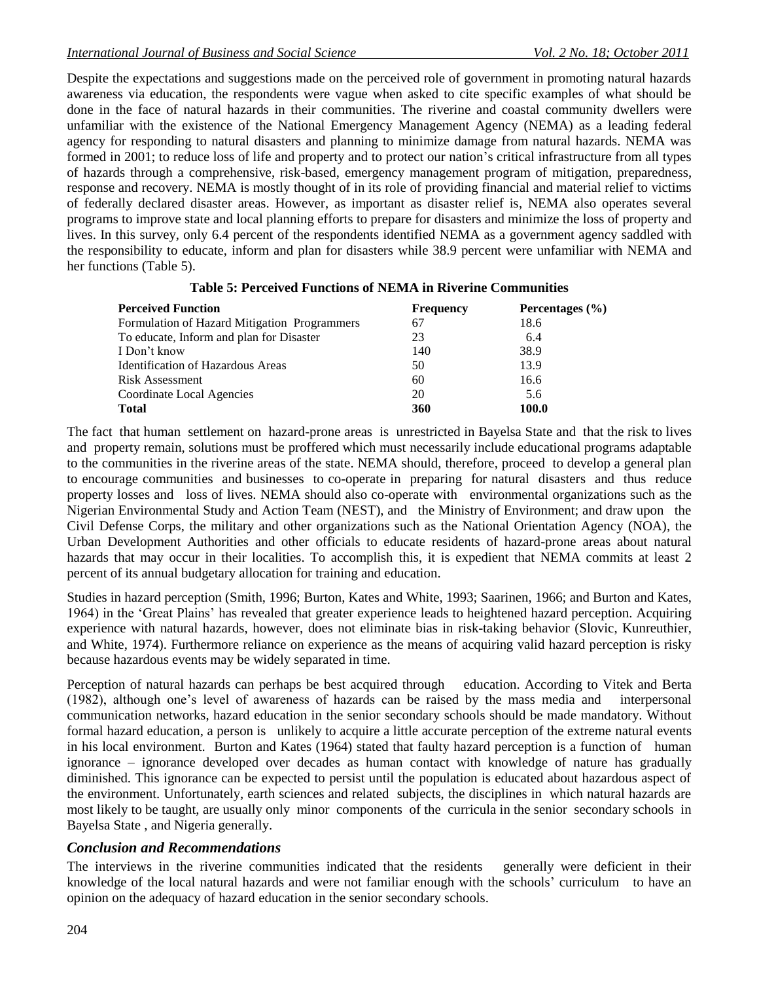Despite the expectations and suggestions made on the perceived role of government in promoting natural hazards awareness via education, the respondents were vague when asked to cite specific examples of what should be done in the face of natural hazards in their communities. The riverine and coastal community dwellers were unfamiliar with the existence of the National Emergency Management Agency (NEMA) as a leading federal agency for responding to natural disasters and planning to minimize damage from natural hazards. NEMA was formed in 2001; to reduce loss of life and property and to protect our nation's critical infrastructure from all types of hazards through a comprehensive, risk-based, emergency management program of mitigation, preparedness, response and recovery. NEMA is mostly thought of in its role of providing financial and material relief to victims of federally declared disaster areas. However, as important as disaster relief is, NEMA also operates several programs to improve state and local planning efforts to prepare for disasters and minimize the loss of property and lives. In this survey, only 6.4 percent of the respondents identified NEMA as a government agency saddled with the responsibility to educate, inform and plan for disasters while 38.9 percent were unfamiliar with NEMA and her functions (Table 5).

| <b>Perceived Function</b>                    | <b>Frequency</b> | Percentages $(\% )$ |
|----------------------------------------------|------------------|---------------------|
| Formulation of Hazard Mitigation Programmers | 67               | 18.6                |
| To educate, Inform and plan for Disaster     | 23               | 6.4                 |
| I Don't know                                 | 140              | 38.9                |
| <b>Identification of Hazardous Areas</b>     | 50               | 13.9                |
| <b>Risk Assessment</b>                       | 60               | 16.6                |
| Coordinate Local Agencies                    | 20               | 5.6                 |
| <b>Total</b>                                 | 360              | 100.0               |

#### **Table 5: Perceived Functions of NEMA in Riverine Communities**

The fact that human settlement on hazard-prone areas is unrestricted in Bayelsa State and that the risk to lives and property remain, solutions must be proffered which must necessarily include educational programs adaptable to the communities in the riverine areas of the state. NEMA should, therefore, proceed to develop a general plan to encourage communities and businesses to co-operate in preparing for natural disasters and thus reduce property losses and loss of lives. NEMA should also co-operate with environmental organizations such as the Nigerian Environmental Study and Action Team (NEST), and the Ministry of Environment; and draw upon the Civil Defense Corps, the military and other organizations such as the National Orientation Agency (NOA), the Urban Development Authorities and other officials to educate residents of hazard-prone areas about natural hazards that may occur in their localities. To accomplish this, it is expedient that NEMA commits at least 2 percent of its annual budgetary allocation for training and education.

Studies in hazard perception (Smith, 1996; Burton, Kates and White, 1993; Saarinen, 1966; and Burton and Kates, 1964) in the "Great Plains" has revealed that greater experience leads to heightened hazard perception. Acquiring experience with natural hazards, however, does not eliminate bias in risk-taking behavior (Slovic, Kunreuthier, and White, 1974). Furthermore reliance on experience as the means of acquiring valid hazard perception is risky because hazardous events may be widely separated in time.

Perception of natural hazards can perhaps be best acquired through education. According to Vitek and Berta (1982), although one"s level of awareness of hazards can be raised by the mass media and interpersonal communication networks, hazard education in the senior secondary schools should be made mandatory. Without formal hazard education, a person is unlikely to acquire a little accurate perception of the extreme natural events in his local environment. Burton and Kates (1964) stated that faulty hazard perception is a function of human ignorance – ignorance developed over decades as human contact with knowledge of nature has gradually diminished. This ignorance can be expected to persist until the population is educated about hazardous aspect of the environment. Unfortunately, earth sciences and related subjects, the disciplines in which natural hazards are most likely to be taught, are usually only minor components of the curricula in the senior secondary schools in Bayelsa State , and Nigeria generally.

## *Conclusion and Recommendations*

The interviews in the riverine communities indicated that the residents generally were deficient in their knowledge of the local natural hazards and were not familiar enough with the schools" curriculum to have an opinion on the adequacy of hazard education in the senior secondary schools.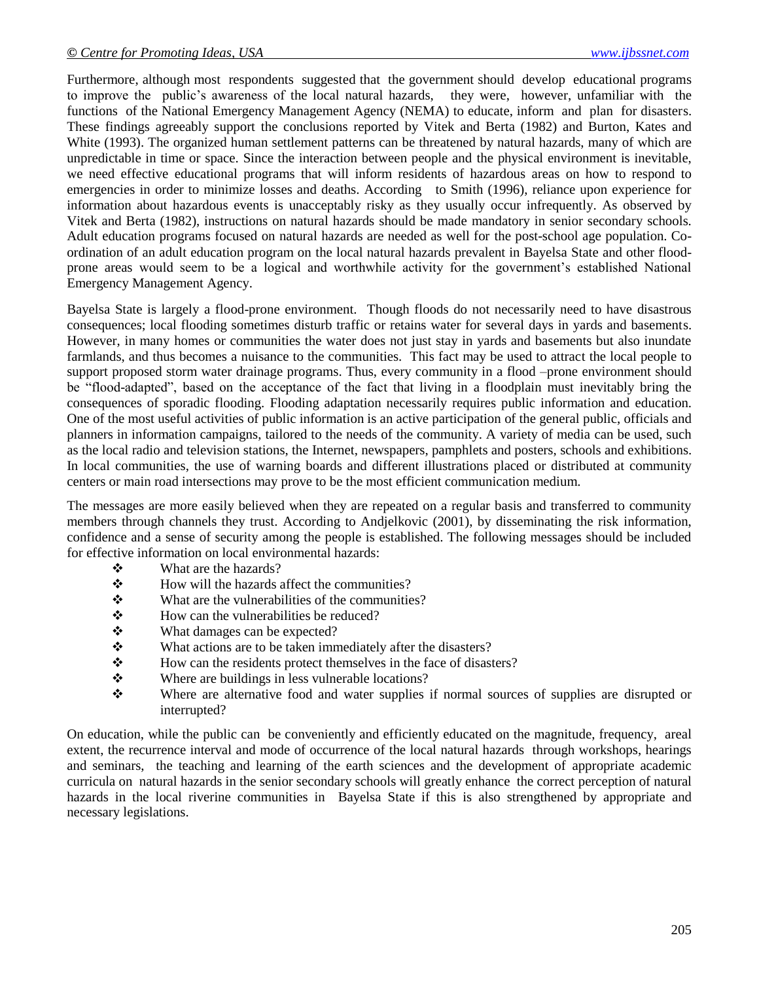Furthermore, although most respondents suggested that the government should develop educational programs to improve the public"s awareness of the local natural hazards, they were, however, unfamiliar with the functions of the National Emergency Management Agency (NEMA) to educate, inform and plan for disasters. These findings agreeably support the conclusions reported by Vitek and Berta (1982) and Burton, Kates and White (1993). The organized human settlement patterns can be threatened by natural hazards, many of which are unpredictable in time or space. Since the interaction between people and the physical environment is inevitable, we need effective educational programs that will inform residents of hazardous areas on how to respond to emergencies in order to minimize losses and deaths. According to Smith (1996), reliance upon experience for information about hazardous events is unacceptably risky as they usually occur infrequently. As observed by Vitek and Berta (1982), instructions on natural hazards should be made mandatory in senior secondary schools. Adult education programs focused on natural hazards are needed as well for the post-school age population. Coordination of an adult education program on the local natural hazards prevalent in Bayelsa State and other floodprone areas would seem to be a logical and worthwhile activity for the government"s established National Emergency Management Agency.

Bayelsa State is largely a flood-prone environment. Though floods do not necessarily need to have disastrous consequences; local flooding sometimes disturb traffic or retains water for several days in yards and basements. However, in many homes or communities the water does not just stay in yards and basements but also inundate farmlands, and thus becomes a nuisance to the communities. This fact may be used to attract the local people to support proposed storm water drainage programs. Thus, every community in a flood –prone environment should be "flood-adapted", based on the acceptance of the fact that living in a floodplain must inevitably bring the consequences of sporadic flooding. Flooding adaptation necessarily requires public information and education. One of the most useful activities of public information is an active participation of the general public, officials and planners in information campaigns, tailored to the needs of the community. A variety of media can be used, such as the local radio and television stations, the Internet, newspapers, pamphlets and posters, schools and exhibitions. In local communities, the use of warning boards and different illustrations placed or distributed at community centers or main road intersections may prove to be the most efficient communication medium.

The messages are more easily believed when they are repeated on a regular basis and transferred to community members through channels they trust. According to Andjelkovic (2001), by disseminating the risk information, confidence and a sense of security among the people is established. The following messages should be included for effective information on local environmental hazards:

- What are the hazards?
- $\triangle$  How will the hazards affect the communities?
- $\mathbf{\hat{P}}$  What are the vulnerabilities of the communities?
- $\mathbf{\hat{\cdot}}$  How can the vulnerabilities be reduced?
- What damages can be expected?
- ◆ What actions are to be taken immediately after the disasters?
- How can the residents protect themselves in the face of disasters?
- ◆ Where are buildings in less vulnerable locations?
- Where are alternative food and water supplies if normal sources of supplies are disrupted or interrupted?

On education, while the public can be conveniently and efficiently educated on the magnitude, frequency, areal extent, the recurrence interval and mode of occurrence of the local natural hazards through workshops, hearings and seminars, the teaching and learning of the earth sciences and the development of appropriate academic curricula on natural hazards in the senior secondary schools will greatly enhance the correct perception of natural hazards in the local riverine communities in Bayelsa State if this is also strengthened by appropriate and necessary legislations.